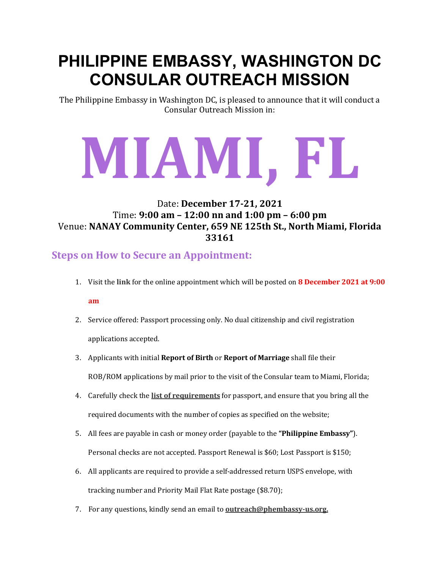# **PHILIPPINE EMBASSY, WASHINGTON DC CONSULAR OUTREACH MISSION**

The Philippine Embassy in Washington DC, is pleased to announce that it will conduct a Consular Outreach Mission in:

# **MIAMI, FL**

#### Date: **December 17-21, 2021** Time: **9:00 am – 12:00 nn and 1:00 pm – 6:00 pm** Venue: **NANAY Community Center, 659 NE 125th St., North Miami, Florida 33161**

## **Steps on How to Secure an Appointment:**

- 1. Visit the **[link](https://philippineembassy-usa.org/appointments/)** for the online appointment which will be posted on **8 December 2021 at 9:00 am**
- 2. Service offered: Passport processing only. No dual citizenship and civil registration applications accepted.
- 3. Applicants with initial **Report of Birth** or **Report of Marriage** shall file their ROB/ROM applications by mail prior to the visit of the Consular team to Miami, Florida;
- 4. Carefully check the **list of [requirements](https://philippineembassy-usa.org/passport/)** for passport, and ensure that you bring all the required documents with the number of copies as specified on the website;
- 5. All fees are payable in cash or money order (payable to the **"Philippine Embassy"**). Personal checks are not accepted. Passport Renewal is \$60; Lost Passport is \$150;
- 6. All applicants are required to provide a self-addressed return USPS envelope, with tracking number and Priority Mail Flat Rate postage (\$8.70);
- 7. For any questions, kindly send an email to **[outreach@phembassy-us.org.](mailto:%20outreach@phembassy-us.org)**